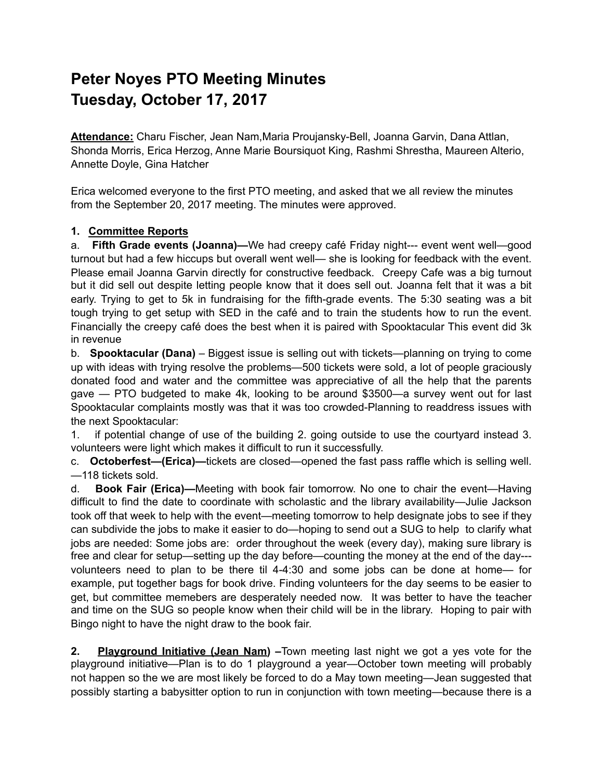## **Peter Noyes PTO Meeting Minutes Tuesday, October 17, 2017**

**Attendance:** Charu Fischer, Jean Nam,Maria Proujansky-Bell, Joanna Garvin, Dana Attlan, Shonda Morris, Erica Herzog, Anne Marie Boursiquot King, Rashmi Shrestha, Maureen Alterio, Annette Doyle, Gina Hatcher

Erica welcomed everyone to the first PTO meeting, and asked that we all review the minutes from the September 20, 2017 meeting. The minutes were approved.

## **1. Committee Reports**

a. **Fifth Grade events (Joanna)—**We had creepy café Friday night--- event went well—good turnout but had a few hiccups but overall went well— she is looking for feedback with the event. Please email Joanna Garvin directly for constructive feedback. Creepy Cafe was a big turnout but it did sell out despite letting people know that it does sell out. Joanna felt that it was a bit early. Trying to get to 5k in fundraising for the fifth-grade events. The 5:30 seating was a bit tough trying to get setup with SED in the café and to train the students how to run the event. Financially the creepy café does the best when it is paired with Spooktacular This event did 3k in revenue

b. **Spooktacular (Dana)** – Biggest issue is selling out with tickets—planning on trying to come up with ideas with trying resolve the problems—500 tickets were sold, a lot of people graciously donated food and water and the committee was appreciative of all the help that the parents gave — PTO budgeted to make 4k, looking to be around \$3500—a survey went out for last Spooktacular complaints mostly was that it was too crowded-Planning to readdress issues with the next Spooktacular:

1. if potential change of use of the building 2. going outside to use the courtyard instead 3. volunteers were light which makes it difficult to run it successfully.

c. **Octoberfest—(Erica)—**tickets are closed—opened the fast pass raffle which is selling well. —118 tickets sold.

d. **Book Fair (Erica)—**Meeting with book fair tomorrow. No one to chair the event—Having difficult to find the date to coordinate with scholastic and the library availability—Julie Jackson took off that week to help with the event—meeting tomorrow to help designate jobs to see if they can subdivide the jobs to make it easier to do—hoping to send out a SUG to help to clarify what jobs are needed: Some jobs are: order throughout the week (every day), making sure library is free and clear for setup—setting up the day before—counting the money at the end of the day-- volunteers need to plan to be there til 4-4:30 and some jobs can be done at home— for example, put together bags for book drive. Finding volunteers for the day seems to be easier to get, but committee memebers are desperately needed now. It was better to have the teacher and time on the SUG so people know when their child will be in the library. Hoping to pair with Bingo night to have the night draw to the book fair.

**2. Playground Initiative (Jean Nam) –**Town meeting last night we got a yes vote for the playground initiative—Plan is to do 1 playground a year—October town meeting will probably not happen so the we are most likely be forced to do a May town meeting—Jean suggested that possibly starting a babysitter option to run in conjunction with town meeting—because there is a